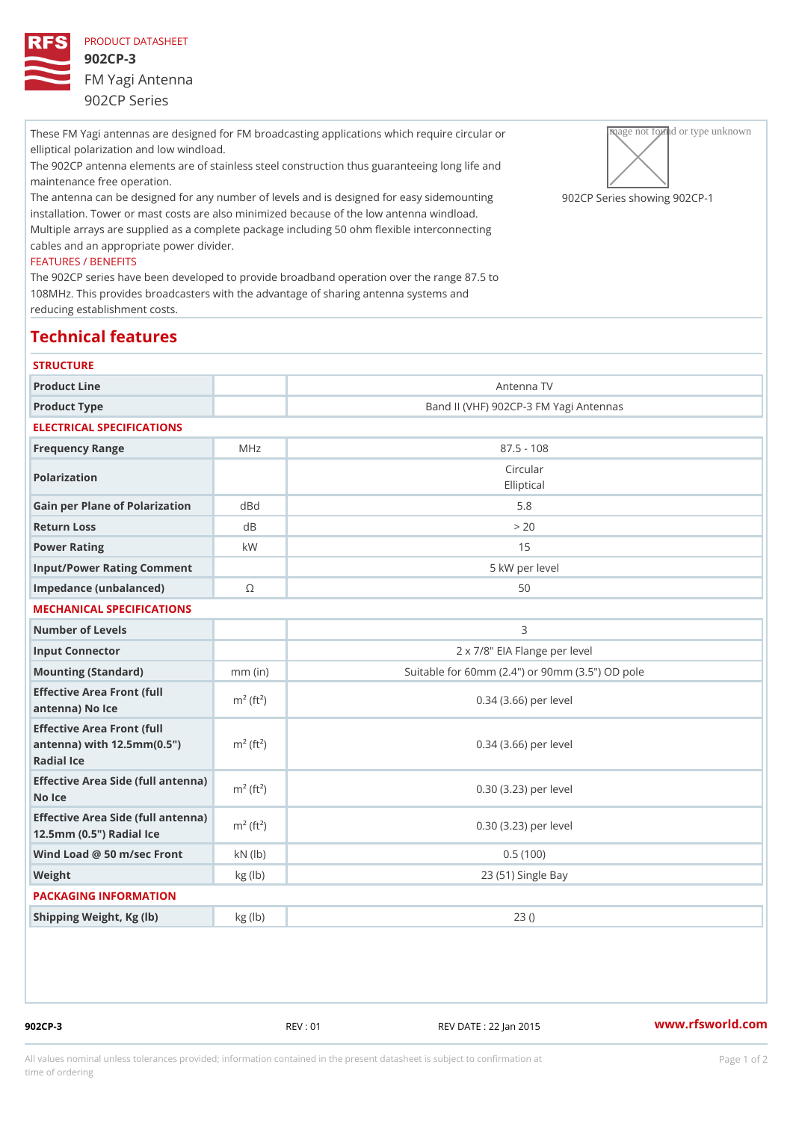These FM Yagi antennas are designed for FM broadcasting applications which preparing the circular own elliptical polarization and low windload. The 902CP antenna elements are of stainless steel construction thus guaranteeing ong life and maintenance free operation. The antenna can be designed for any number of levels and is designed9 Of  $aC$  PaSs grised esmhonuwnining  $g902$  (CP – installation. Tower or mast costs are also minimized because of the low antenna windload.

Multiple arrays are supplied as a complete package including 50 ohm flexible interconnecting cables and an appropriate power divider.

## FEATURES / BENEFITS

The 902CP series have been developed to provide broadband operation over the range 87.5 to 108MHz. This provides broadcasters with the advantage of sharing antenna systems and reducing establishment costs.

## Technical features

| <b>STRUCTURE</b>                                                                                                       |                         |                                                 |
|------------------------------------------------------------------------------------------------------------------------|-------------------------|-------------------------------------------------|
| Product Line                                                                                                           |                         | Antenna TV                                      |
| Product Type                                                                                                           |                         | Band II (VHF) 902CP-3 FM Yagi Antennas          |
| ELECTRICAL SPECIFICATIONS                                                                                              |                         |                                                 |
| Frequency Range                                                                                                        | MHz                     | $87.5 - 108$                                    |
| Polarization                                                                                                           |                         | Circular<br>Elliptical                          |
| Gain per Plane of Polarizat doBnd                                                                                      |                         | 5.8                                             |
| Return Loss                                                                                                            | d B                     | > 20                                            |
| Power Rating                                                                                                           | k W                     | 15                                              |
| Input/Power Rating Comment                                                                                             |                         | 5 kW per level                                  |
| Impedance (unbalanced)                                                                                                 | $\odot$                 | 50                                              |
| MECHANICAL SPECIFICATIONS                                                                                              |                         |                                                 |
| Number of Levels                                                                                                       |                         | 3                                               |
| Input Connector                                                                                                        |                         | 2 x 7/8" EIA Flange per level                   |
| Mounting (Standard)                                                                                                    | $mm$ (in)               | Suitable for 60mm (2.4") or 90mm (3.5") OD pole |
| Effective Area Front (full<br>antenna) No Ice                                                                          | $m2$ (ft <sup>2</sup> ) | 0.34 (3.66) per level                           |
| Effective Area Front (full<br>antenna) with $12.5$ mm $(0.5$ " $\dot{m}$ <sup>2</sup> (ft <sup>2</sup> )<br>Radial Ice |                         | 0.34 (3.66) per level                           |
| Effective Area Side (full antenna)<br>No Ice                                                                           |                         | 0.30 (3.23) per level                           |
| Effective Area Side (full antenna)<br>12.5mm (0.5") Radial Ice                                                         |                         | 0.30 (3.23) per level                           |
| Wind Load @ 50 m/sec $=$ rokN (lb)                                                                                     |                         | 0.5(100)                                        |
| Weight                                                                                                                 | kg(lb)                  | 23 (51) Single Bay                              |
| PACKAGING INFORMATION                                                                                                  |                         |                                                 |
| Shipping Weight, Kg (lb)                                                                                               | $kg$ (lb)               | 23()                                            |
|                                                                                                                        |                         |                                                 |

902CP-3 REV : 01 REV DATE : 22 Jan 2015 [www.](https://www.rfsworld.com)rfsworld.com

All values nominal unless tolerances provided; information contained in the present datasheet is subject to Pcapgeign manation time of ordering